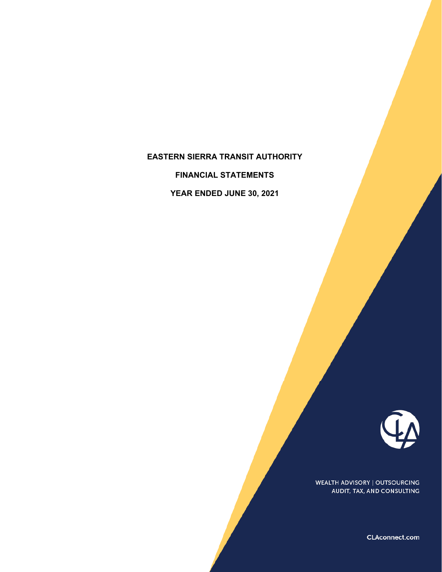# **EASTERN SIERRA TRANSIT AUTHORITY**

**FINANCIAL STATEMENTS** 

**YEAR ENDED JUNE 30, 2021** 



WEALTH ADVISORY | OUTSOURCING AUDIT, TAX, AND CONSULTING

CLAconnect.com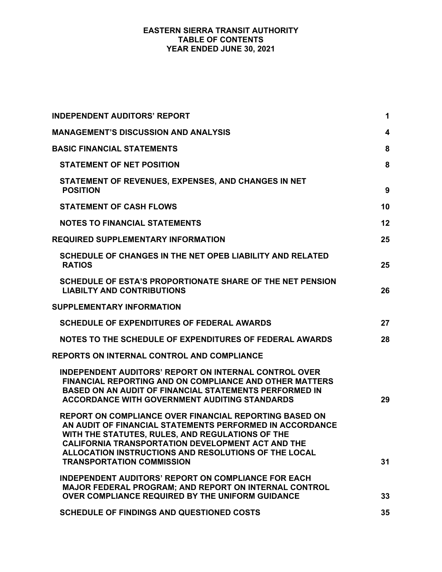### **EASTERN SIERRA TRANSIT AUTHORITY TABLE OF CONTENTS YEAR ENDED JUNE 30, 2021**

| <b>INDEPENDENT AUDITORS' REPORT</b>                                                                                                                                                                                                                                                        | $\mathbf{1}$            |
|--------------------------------------------------------------------------------------------------------------------------------------------------------------------------------------------------------------------------------------------------------------------------------------------|-------------------------|
| <b>MANAGEMENT'S DISCUSSION AND ANALYSIS</b>                                                                                                                                                                                                                                                | $\overline{\mathbf{4}}$ |
| <b>BASIC FINANCIAL STATEMENTS</b>                                                                                                                                                                                                                                                          | 8                       |
| <b>STATEMENT OF NET POSITION</b>                                                                                                                                                                                                                                                           | 8                       |
| STATEMENT OF REVENUES, EXPENSES, AND CHANGES IN NET<br><b>POSITION</b>                                                                                                                                                                                                                     | 9                       |
| <b>STATEMENT OF CASH FLOWS</b>                                                                                                                                                                                                                                                             | 10                      |
| <b>NOTES TO FINANCIAL STATEMENTS</b>                                                                                                                                                                                                                                                       | 12                      |
| <b>REQUIRED SUPPLEMENTARY INFORMATION</b>                                                                                                                                                                                                                                                  | 25                      |
| SCHEDULE OF CHANGES IN THE NET OPEB LIABILITY AND RELATED<br><b>RATIOS</b>                                                                                                                                                                                                                 | 25                      |
| SCHEDULE OF ESTA'S PROPORTIONATE SHARE OF THE NET PENSION<br><b>LIABILTY AND CONTRIBUTIONS</b>                                                                                                                                                                                             | 26                      |
| <b>SUPPLEMENTARY INFORMATION</b>                                                                                                                                                                                                                                                           |                         |
| <b>SCHEDULE OF EXPENDITURES OF FEDERAL AWARDS</b>                                                                                                                                                                                                                                          | 27                      |
| NOTES TO THE SCHEDULE OF EXPENDITURES OF FEDERAL AWARDS                                                                                                                                                                                                                                    | 28                      |
| <b>REPORTS ON INTERNAL CONTROL AND COMPLIANCE</b>                                                                                                                                                                                                                                          |                         |
| <b>INDEPENDENT AUDITORS' REPORT ON INTERNAL CONTROL OVER</b><br><b>FINANCIAL REPORTING AND ON COMPLIANCE AND OTHER MATTERS</b><br><b>BASED ON AN AUDIT OF FINANCIAL STATEMENTS PERFORMED IN</b><br><b>ACCORDANCE WITH GOVERNMENT AUDITING STANDARDS</b>                                    | 29                      |
| REPORT ON COMPLIANCE OVER FINANCIAL REPORTING BASED ON<br>AN AUDIT OF FINANCIAL STATEMENTS PERFORMED IN ACCORDANCE<br>WITH THE STATUTES, RULES, AND REGULATIONS OF THE<br><b>CALIFORNIA TRANSPORTATION DEVELOPMENT ACT AND THE</b><br>ALLOCATION INSTRUCTIONS AND RESOLUTIONS OF THE LOCAL |                         |
| <b>TRANSPORTATION COMMISSION</b>                                                                                                                                                                                                                                                           | 31                      |
| <b>INDEPENDENT AUDITORS' REPORT ON COMPLIANCE FOR EACH</b><br><b>MAJOR FEDERAL PROGRAM; AND REPORT ON INTERNAL CONTROL</b><br><b>OVER COMPLIANCE REQUIRED BY THE UNIFORM GUIDANCE</b>                                                                                                      | 33                      |
| <b>SCHEDULE OF FINDINGS AND QUESTIONED COSTS</b>                                                                                                                                                                                                                                           | 35                      |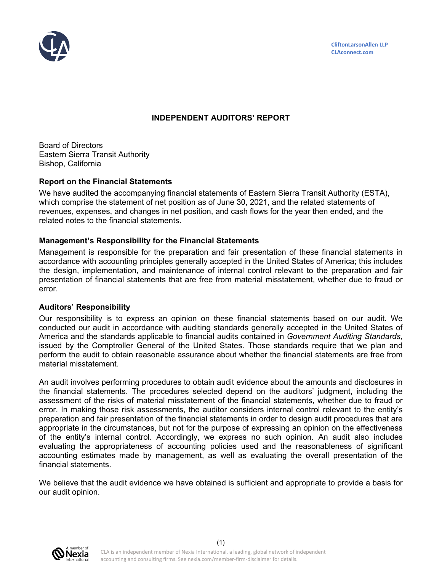

# **INDEPENDENT AUDITORS' REPORT**

Board of Directors Eastern Sierra Transit Authority Bishop, California

### **Report on the Financial Statements**

We have audited the accompanying financial statements of Eastern Sierra Transit Authority (ESTA), which comprise the statement of net position as of June 30, 2021, and the related statements of revenues, expenses, and changes in net position, and cash flows for the year then ended, and the related notes to the financial statements.

### **Management's Responsibility for the Financial Statements**

Management is responsible for the preparation and fair presentation of these financial statements in accordance with accounting principles generally accepted in the United States of America; this includes the design, implementation, and maintenance of internal control relevant to the preparation and fair presentation of financial statements that are free from material misstatement, whether due to fraud or error.

### **Auditors' Responsibility**

Our responsibility is to express an opinion on these financial statements based on our audit. We conducted our audit in accordance with auditing standards generally accepted in the United States of America and the standards applicable to financial audits contained in *Government Auditing Standards*, issued by the Comptroller General of the United States. Those standards require that we plan and perform the audit to obtain reasonable assurance about whether the financial statements are free from material misstatement.

An audit involves performing procedures to obtain audit evidence about the amounts and disclosures in the financial statements. The procedures selected depend on the auditors' judgment, including the assessment of the risks of material misstatement of the financial statements, whether due to fraud or error. In making those risk assessments, the auditor considers internal control relevant to the entity's preparation and fair presentation of the financial statements in order to design audit procedures that are appropriate in the circumstances, but not for the purpose of expressing an opinion on the effectiveness of the entity's internal control. Accordingly, we express no such opinion. An audit also includes evaluating the appropriateness of accounting policies used and the reasonableness of significant accounting estimates made by management, as well as evaluating the overall presentation of the financial statements.

We believe that the audit evidence we have obtained is sufficient and appropriate to provide a basis for our audit opinion.

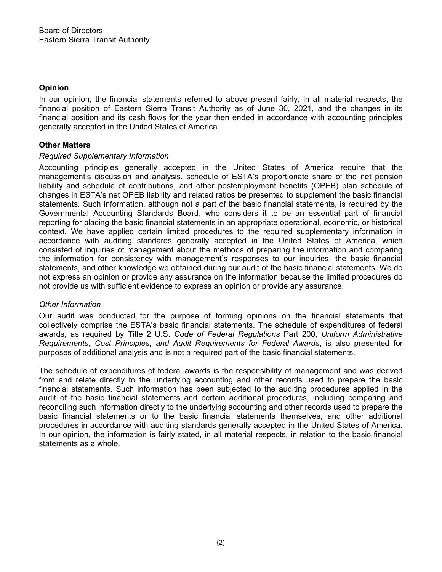# **Opinion**

In our opinion, the financial statements referred to above present fairly, in all material respects, the financial position of Eastern Sierra Transit Authority as of June 30, 2021, and the changes in its financial position and its cash flows for the year then ended in accordance with accounting principles generally accepted in the United States of America.

# **Other Matters**

# *Required Supplementary Information*

Accounting principles generally accepted in the United States of America require that the management's discussion and analysis, schedule of ESTA's proportionate share of the net pension liability and schedule of contributions, and other postemployment benefits (OPEB) plan schedule of changes in ESTA's net OPEB liability and related ratios be presented to supplement the basic financial statements. Such information, although not a part of the basic financial statements, is required by the Governmental Accounting Standards Board, who considers it to be an essential part of financial reporting for placing the basic financial statements in an appropriate operational, economic, or historical context. We have applied certain limited procedures to the required supplementary information in accordance with auditing standards generally accepted in the United States of America, which consisted of inquiries of management about the methods of preparing the information and comparing the information for consistency with management's responses to our inquiries, the basic financial statements, and other knowledge we obtained during our audit of the basic financial statements. We do not express an opinion or provide any assurance on the information because the limited procedures do not provide us with sufficient evidence to express an opinion or provide any assurance.

# *Other Information*

Our audit was conducted for the purpose of forming opinions on the financial statements that collectively comprise the ESTA's basic financial statements. The schedule of expenditures of federal awards, as required by Title 2 U.S. *Code of Federal Regulations* Part 200, *Uniform Administrative Requirements, Cost Principles, and Audit Requirements for Federal Awards*, is also presented for purposes of additional analysis and is not a required part of the basic financial statements.

The schedule of expenditures of federal awards is the responsibility of management and was derived from and relate directly to the underlying accounting and other records used to prepare the basic financial statements. Such information has been subjected to the auditing procedures applied in the audit of the basic financial statements and certain additional procedures, including comparing and reconciling such information directly to the underlying accounting and other records used to prepare the basic financial statements or to the basic financial statements themselves, and other additional procedures in accordance with auditing standards generally accepted in the United States of America. In our opinion, the information is fairly stated, in all material respects, in relation to the basic financial statements as a whole.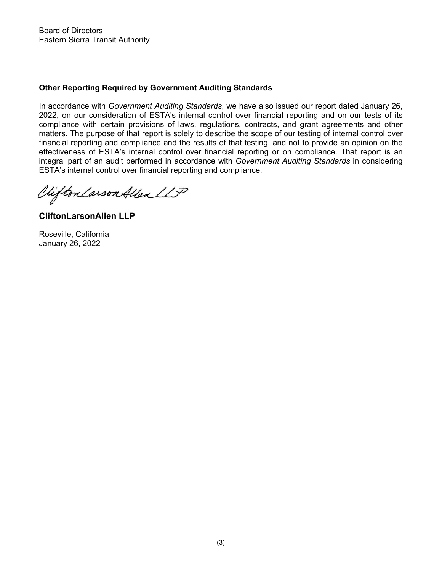Board of Directors Eastern Sierra Transit Authority

### **Other Reporting Required by Government Auditing Standards**

In accordance with *Government Auditing Standards*, we have also issued our report dated January 26, 2022, on our consideration of ESTA's internal control over financial reporting and on our tests of its compliance with certain provisions of laws, regulations, contracts, and grant agreements and other matters. The purpose of that report is solely to describe the scope of our testing of internal control over financial reporting and compliance and the results of that testing, and not to provide an opinion on the effectiveness of ESTA's internal control over financial reporting or on compliance. That report is an integral part of an audit performed in accordance with *Government Auditing Standards* in considering ESTA's internal control over financial reporting and compliance.

Clifton Larson Allen LLP

**CliftonLarsonAllen LLP** 

Roseville, California January 26, 2022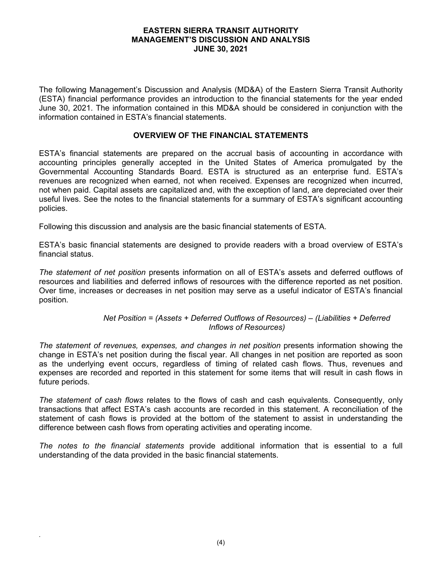The following Management's Discussion and Analysis (MD&A) of the Eastern Sierra Transit Authority (ESTA) financial performance provides an introduction to the financial statements for the year ended June 30, 2021. The information contained in this MD&A should be considered in conjunction with the information contained in ESTA's financial statements.

### **OVERVIEW OF THE FINANCIAL STATEMENTS**

ESTA's financial statements are prepared on the accrual basis of accounting in accordance with accounting principles generally accepted in the United States of America promulgated by the Governmental Accounting Standards Board. ESTA is structured as an enterprise fund. ESTA's revenues are recognized when earned, not when received. Expenses are recognized when incurred, not when paid. Capital assets are capitalized and, with the exception of land, are depreciated over their useful lives. See the notes to the financial statements for a summary of ESTA's significant accounting policies.

Following this discussion and analysis are the basic financial statements of ESTA.

ESTA's basic financial statements are designed to provide readers with a broad overview of ESTA's financial status.

*The statement of net position* presents information on all of ESTA's assets and deferred outflows of resources and liabilities and deferred inflows of resources with the difference reported as net position. Over time, increases or decreases in net position may serve as a useful indicator of ESTA's financial position*.* 

### *Net Position = (Assets + Deferred Outflows of Resources) – (Liabilities + Deferred Inflows of Resources)*

*The statement of revenues, expenses, and changes in net position* presents information showing the change in ESTA's net position during the fiscal year. All changes in net position are reported as soon as the underlying event occurs, regardless of timing of related cash flows. Thus, revenues and expenses are recorded and reported in this statement for some items that will result in cash flows in future periods.

*The statement of cash flows* relates to the flows of cash and cash equivalents. Consequently, only transactions that affect ESTA's cash accounts are recorded in this statement. A reconciliation of the statement of cash flows is provided at the bottom of the statement to assist in understanding the difference between cash flows from operating activities and operating income.

*The notes to the financial statements* provide additional information that is essential to a full understanding of the data provided in the basic financial statements.

*.*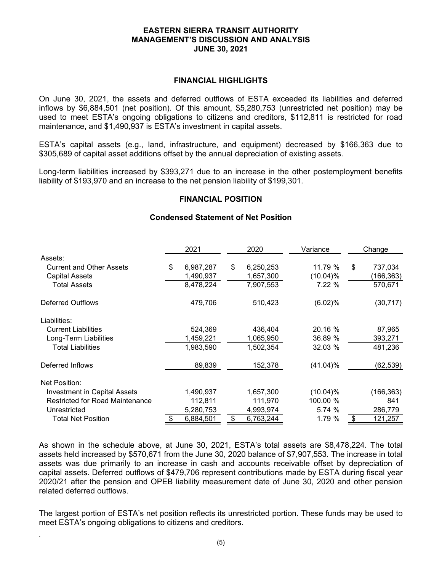### **FINANCIAL HIGHLIGHTS**

On June 30, 2021, the assets and deferred outflows of ESTA exceeded its liabilities and deferred inflows by \$6,884,501 (net position). Of this amount, \$5,280,753 (unrestricted net position) may be used to meet ESTA's ongoing obligations to citizens and creditors, \$112,811 is restricted for road maintenance, and \$1,490,937 is ESTA's investment in capital assets.

ESTA's capital assets (e.g., land, infrastructure, and equipment) decreased by \$166,363 due to \$305,689 of capital asset additions offset by the annual depreciation of existing assets.

Long-term liabilities increased by \$393,271 due to an increase in the other postemployment benefits liability of \$193,970 and an increase to the net pension liability of \$199,301.

### **FINANCIAL POSITION**

# 2021 2020 Variance Change Assets: Current and Other Assets \$ 6,987,287 \$ 6,250,253 11.79 % 737,034 \$ Capital Assets 1,490,937 1,657,300 (10.04)% (166,363) Total Assets 8,478,224 7,907,553 7.22 % 570,671 Deferred Outflows 479,706 510,423 (6.02)% (30,717) Liabilities: Current Liabilities 524,369 436,404 20.16 % 87,965 Long-Term Liabilities 1,459,221 1,065,950 36.89 % 393,271 Total Liabilities 1,983,590 1,502,354 32.03 % 481,236 Deferred Inflows (62,539) 152,378 (41.04)% (62,539) Net Position: Investment in Capital Assets 1,490,937 1,657,300 (10.04)% (166,363) Restricted for Road Maintenance  $112,811$  111,970 100.00 % 841 Unrestricted 5,280,753 4,993,974 5.74 % 286,779 Total Net Position  $$ 6,884,501 \$ 6,763,244 \t\t 1.79 \% $ 121,257$

### **Condensed Statement of Net Position**

As shown in the schedule above, at June 30, 2021, ESTA's total assets are \$8,478,224. The total assets held increased by \$570,671 from the June 30, 2020 balance of \$7,907,553. The increase in total assets was due primarily to an increase in cash and accounts receivable offset by depreciation of capital assets. Deferred outflows of \$479,706 represent contributions made by ESTA during fiscal year 2020/21 after the pension and OPEB liability measurement date of June 30, 2020 and other pension related deferred outflows.

The largest portion of ESTA's net position reflects its unrestricted portion. These funds may be used to meet ESTA's ongoing obligations to citizens and creditors.

*.*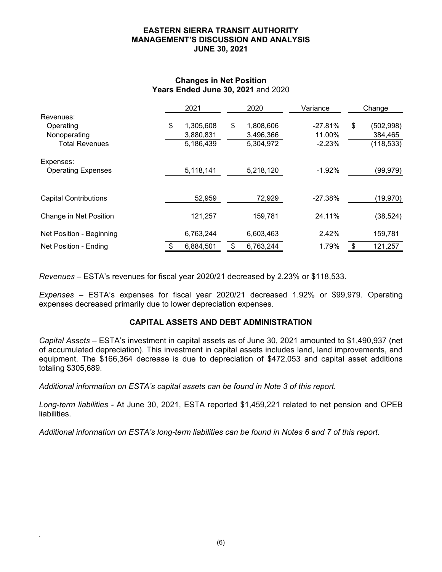### **Changes in Net Position Years Ended June 30, 2021** and 2020

|                                                                 | 2021                                      | 2020                                      | Variance                        | Change                                    |
|-----------------------------------------------------------------|-------------------------------------------|-------------------------------------------|---------------------------------|-------------------------------------------|
| Revenues:<br>Operating<br>Nonoperating<br><b>Total Revenues</b> | \$<br>1,305,608<br>3,880,831<br>5,186,439 | \$<br>1,808,606<br>3,496,366<br>5,304,972 | $-27.81%$<br>11.00%<br>$-2.23%$ | \$<br>(502, 998)<br>384,465<br>(118, 533) |
| Expenses:<br><b>Operating Expenses</b>                          | 5,118,141                                 | 5,218,120                                 | $-1.92%$                        | (99, 979)                                 |
| <b>Capital Contributions</b>                                    | 52,959                                    | 72,929                                    | $-27.38%$                       | (19, 970)                                 |
| Change in Net Position                                          | 121,257                                   | 159,781                                   | 24.11%                          | (38, 524)                                 |
| Net Position - Beginning                                        | 6,763,244                                 | 6,603,463                                 | 2.42%                           | 159,781                                   |
| Net Position - Ending                                           | 6,884,501                                 | 6,763,244                                 | 1.79%                           | 121,257                                   |

*Revenues –* ESTA's revenues for fiscal year 2020/21 decreased by 2.23% or \$118,533.

*Expenses –* ESTA's expenses for fiscal year 2020/21 decreased 1.92% or \$99,979. Operating expenses decreased primarily due to lower depreciation expenses.

# **CAPITAL ASSETS AND DEBT ADMINISTRATION**

*Capital Assets –* ESTA's investment in capital assets as of June 30, 2021 amounted to \$1,490,937 (net of accumulated depreciation). This investment in capital assets includes land, land improvements, and equipment. The \$166,364 decrease is due to depreciation of \$472,053 and capital asset additions totaling \$305,689.

*Additional information on ESTA's capital assets can be found in Note 3 of this report.* 

*.* 

*Long-term liabilities -* At June 30, 2021, ESTA reported \$1,459,221 related to net pension and OPEB liabilities.

*Additional information on ESTA's long-term liabilities can be found in Notes 6 and 7 of this report.*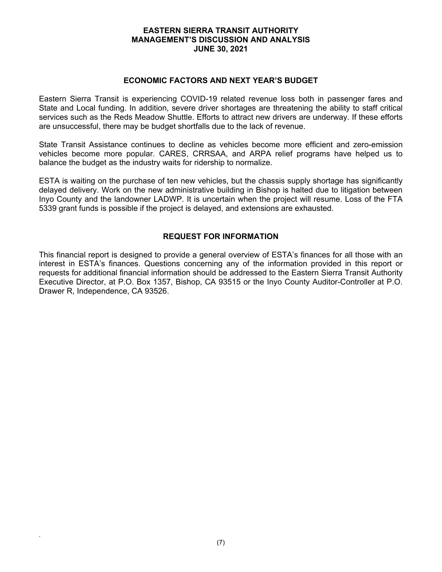### **ECONOMIC FACTORS AND NEXT YEAR'S BUDGET**

Eastern Sierra Transit is experiencing COVID-19 related revenue loss both in passenger fares and State and Local funding. In addition, severe driver shortages are threatening the ability to staff critical services such as the Reds Meadow Shuttle. Efforts to attract new drivers are underway. If these efforts are unsuccessful, there may be budget shortfalls due to the lack of revenue.

State Transit Assistance continues to decline as vehicles become more efficient and zero-emission vehicles become more popular. CARES, CRRSAA, and ARPA relief programs have helped us to balance the budget as the industry waits for ridership to normalize.

ESTA is waiting on the purchase of ten new vehicles, but the chassis supply shortage has significantly delayed delivery. Work on the new administrative building in Bishop is halted due to litigation between Inyo County and the landowner LADWP. It is uncertain when the project will resume. Loss of the FTA 5339 grant funds is possible if the project is delayed, and extensions are exhausted.

# **REQUEST FOR INFORMATION**

This financial report is designed to provide a general overview of ESTA's finances for all those with an interest in ESTA's finances. Questions concerning any of the information provided in this report or requests for additional financial information should be addressed to the Eastern Sierra Transit Authority Executive Director, at P.O. Box 1357, Bishop, CA 93515 or the Inyo County Auditor-Controller at P.O. Drawer R, Independence, CA 93526.

*.*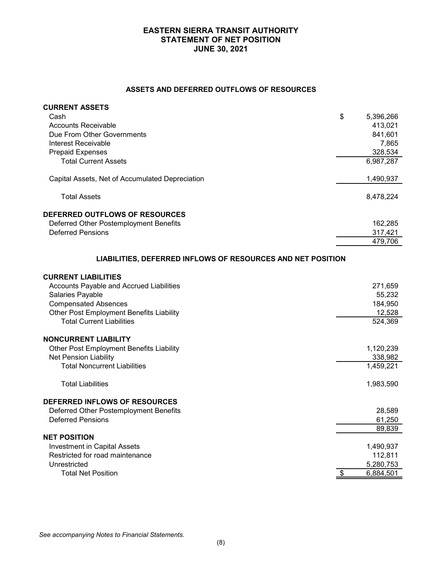### **EASTERN SIERRA TRANSIT AUTHORITY STATEMENT OF NET POSITION JUNE 30, 2021**

### **ASSETS AND DEFERRED OUTFLOWS OF RESOURCES**

| <b>CURRENT ASSETS</b>                                       |                         |           |
|-------------------------------------------------------------|-------------------------|-----------|
| Cash                                                        | \$                      | 5,396,266 |
| <b>Accounts Receivable</b>                                  |                         | 413,021   |
| Due From Other Governments                                  |                         | 841,601   |
| Interest Receivable                                         |                         | 7,865     |
| <b>Prepaid Expenses</b>                                     |                         | 328,534   |
| <b>Total Current Assets</b>                                 |                         | 6,987,287 |
| Capital Assets, Net of Accumulated Depreciation             |                         | 1,490,937 |
| <b>Total Assets</b>                                         |                         | 8,478,224 |
| DEFERRED OUTFLOWS OF RESOURCES                              |                         |           |
| Deferred Other Postemployment Benefits                      |                         | 162,285   |
| <b>Deferred Pensions</b>                                    |                         | 317,421   |
|                                                             |                         | 479,706   |
| LIABILITIES, DEFERRED INFLOWS OF RESOURCES AND NET POSITION |                         |           |
|                                                             |                         |           |
| <b>CURRENT LIABILITIES</b>                                  |                         |           |
| Accounts Payable and Accrued Liabilities                    |                         | 271,659   |
| Salaries Payable                                            |                         | 55,232    |
| <b>Compensated Absences</b>                                 |                         | 184,950   |
| Other Post Employment Benefits Liability                    |                         | 12,528    |
| <b>Total Current Liabilities</b>                            |                         | 524,369   |
| <b>NONCURRENT LIABILITY</b>                                 |                         |           |
| Other Post Employment Benefits Liability                    |                         | 1,120,239 |
| <b>Net Pension Liability</b>                                |                         | 338,982   |
| <b>Total Noncurrent Liabilities</b>                         |                         | 1,459,221 |
| <b>Total Liabilities</b>                                    |                         | 1,983,590 |
| DEFERRED INFLOWS OF RESOURCES                               |                         |           |
| Deferred Other Postemployment Benefits                      |                         | 28,589    |
| <b>Deferred Pensions</b>                                    |                         | 61,250    |
|                                                             |                         | 89,839    |
| <b>NET POSITION</b>                                         |                         |           |
| <b>Investment in Capital Assets</b>                         |                         | 1,490,937 |
| Restricted for road maintenance                             |                         | 112,811   |
| Unrestricted                                                |                         | 5,280,753 |
| <b>Total Net Position</b>                                   | $\sqrt[6]{\frac{1}{2}}$ | 6,884,501 |

*See accompanying Notes to Financial Statements.*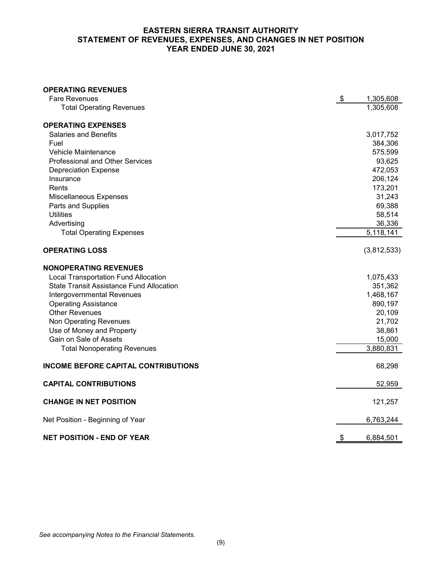# **EASTERN SIERRA TRANSIT AUTHORITY STATEMENT OF REVENUES, EXPENSES, AND CHANGES IN NET POSITION YEAR ENDED JUNE 30, 2021**

| <b>OPERATING REVENUES</b>                       |                 |
|-------------------------------------------------|-----------------|
| Fare Revenues                                   | \$<br>1,305,608 |
| <b>Total Operating Revenues</b>                 | 1,305,608       |
| <b>OPERATING EXPENSES</b>                       |                 |
| <b>Salaries and Benefits</b>                    | 3,017,752       |
| Fuel                                            | 384,306         |
| Vehicle Maintenance                             | 575,599         |
| <b>Professional and Other Services</b>          | 93,625          |
| <b>Depreciation Expense</b>                     | 472,053         |
| Insurance                                       | 206,124         |
| Rents                                           | 173,201         |
| Miscellaneous Expenses                          | 31,243          |
| Parts and Supplies                              | 69,388          |
| <b>Utilities</b>                                | 58,514          |
| Advertising                                     | 36,336          |
| <b>Total Operating Expenses</b>                 | 5,118,141       |
| <b>OPERATING LOSS</b>                           | (3,812,533)     |
| <b>NONOPERATING REVENUES</b>                    |                 |
| <b>Local Transportation Fund Allocation</b>     | 1,075,433       |
| <b>State Transit Assistance Fund Allocation</b> | 351,362         |
| Intergovernmental Revenues                      | 1,468,167       |
| <b>Operating Assistance</b>                     | 890,197         |
| <b>Other Revenues</b>                           | 20,109          |
| Non Operating Revenues                          | 21,702          |
| Use of Money and Property                       | 38,861          |
| Gain on Sale of Assets                          | 15,000          |
| <b>Total Nonoperating Revenues</b>              | 3,880,831       |
| INCOME BEFORE CAPITAL CONTRIBUTIONS             | 68,298          |
| <b>CAPITAL CONTRIBUTIONS</b>                    | 52,959          |
| <b>CHANGE IN NET POSITION</b>                   | 121,257         |
| Net Position - Beginning of Year                | 6,763,244       |
| <b>NET POSITION - END OF YEAR</b>               | \$<br>6,884,501 |

*See accompanying Notes to the Financial Statements.*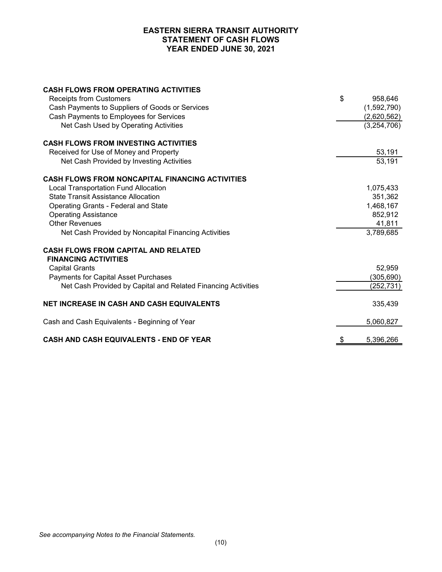### **EASTERN SIERRA TRANSIT AUTHORITY STATEMENT OF CASH FLOWS YEAR ENDED JUNE 30, 2021**

| <b>CASH FLOWS FROM OPERATING ACTIVITIES</b>                               |                 |
|---------------------------------------------------------------------------|-----------------|
| <b>Receipts from Customers</b>                                            | \$<br>958,646   |
| Cash Payments to Suppliers of Goods or Services                           | (1,592,790)     |
| Cash Payments to Employees for Services                                   | (2,620,562)     |
| Net Cash Used by Operating Activities                                     | (3, 254, 706)   |
| <b>CASH FLOWS FROM INVESTING ACTIVITIES</b>                               |                 |
| Received for Use of Money and Property                                    | 53,191          |
| Net Cash Provided by Investing Activities                                 | 53,191          |
| <b>CASH FLOWS FROM NONCAPITAL FINANCING ACTIVITIES</b>                    |                 |
| <b>Local Transportation Fund Allocation</b>                               | 1,075,433       |
| <b>State Transit Assistance Allocation</b>                                | 351,362         |
| <b>Operating Grants - Federal and State</b>                               | 1,468,167       |
| <b>Operating Assistance</b>                                               | 852,912         |
| <b>Other Revenues</b>                                                     | 41,811          |
| Net Cash Provided by Noncapital Financing Activities                      | 3,789,685       |
| <b>CASH FLOWS FROM CAPITAL AND RELATED</b><br><b>FINANCING ACTIVITIES</b> |                 |
| <b>Capital Grants</b>                                                     | 52,959          |
| Payments for Capital Asset Purchases                                      | (305, 690)      |
| Net Cash Provided by Capital and Related Financing Activities             | (252, 731)      |
| <b>NET INCREASE IN CASH AND CASH EQUIVALENTS</b>                          | 335,439         |
| Cash and Cash Equivalents - Beginning of Year                             | 5,060,827       |
| <b>CASH AND CASH EQUIVALENTS - END OF YEAR</b>                            | \$<br>5,396,266 |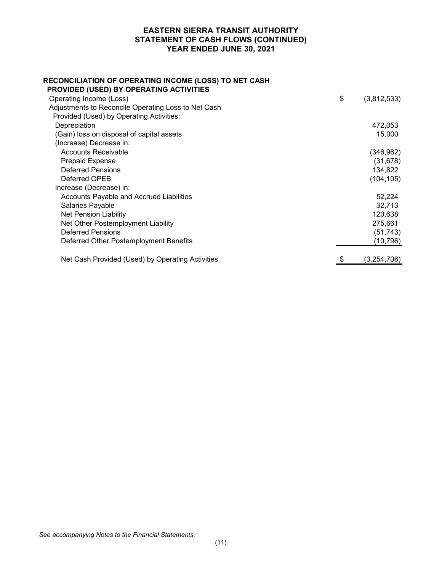# **EASTERN SIERRA TRANSIT AUTHORITY STATEMENT OF CASH FLOWS (CONTINUED) YEAR ENDED JUNE 30, 2021**

| RECONCILIATION OF OPERATING INCOME (LOSS) TO NET CASH |                   |
|-------------------------------------------------------|-------------------|
| <b>PROVIDED (USED) BY OPERATING ACTIVITIES</b>        |                   |
| Operating Income (Loss)                               | \$<br>(3,812,533) |
| Adjustments to Reconcile Operating Loss to Net Cash   |                   |
| Provided (Used) by Operating Activities:              |                   |
| Depreciation                                          | 472,053           |
| (Gain) loss on disposal of capital assets             | 15,000            |
| (Increase) Decrease in:                               |                   |
| <b>Accounts Receivable</b>                            | (346, 962)        |
| <b>Prepaid Expense</b>                                | (31, 678)         |
| <b>Deferred Pensions</b>                              | 134,822           |
| Deferred OPEB                                         | (104, 105)        |
| Increase (Decrease) in:                               |                   |
| Accounts Payable and Accrued Liabilities              | 52,224            |
| Salaries Payable                                      | 32,713            |
| Net Pension Liability                                 | 120,638           |
| Net Other Postemployment Liability                    | 275,661           |
| <b>Deferred Pensions</b>                              | (51, 743)         |
| Deferred Other Postemployment Benefits                | (10, 796)         |
| Net Cash Provided (Used) by Operating Activities      | (3,254,706)       |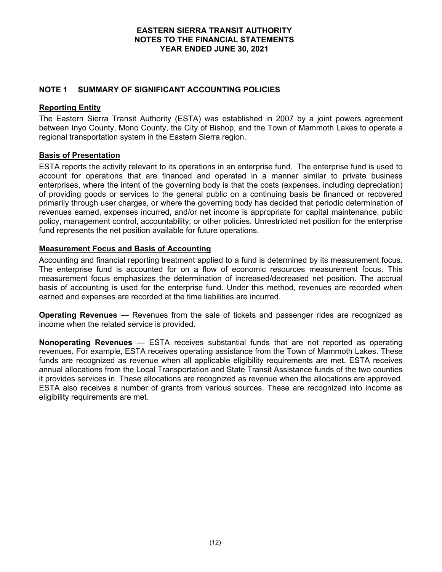### **NOTE 1 SUMMARY OF SIGNIFICANT ACCOUNTING POLICIES**

### **Reporting Entity**

The Eastern Sierra Transit Authority (ESTA) was established in 2007 by a joint powers agreement between Inyo County, Mono County, the City of Bishop, and the Town of Mammoth Lakes to operate a regional transportation system in the Eastern Sierra region.

### **Basis of Presentation**

ESTA reports the activity relevant to its operations in an enterprise fund. The enterprise fund is used to account for operations that are financed and operated in a manner similar to private business enterprises, where the intent of the governing body is that the costs (expenses, including depreciation) of providing goods or services to the general public on a continuing basis be financed or recovered primarily through user charges, or where the governing body has decided that periodic determination of revenues earned, expenses incurred, and/or net income is appropriate for capital maintenance, public policy, management control, accountability, or other policies. Unrestricted net position for the enterprise fund represents the net position available for future operations.

### **Measurement Focus and Basis of Accounting**

Accounting and financial reporting treatment applied to a fund is determined by its measurement focus. The enterprise fund is accounted for on a flow of economic resources measurement focus. This measurement focus emphasizes the determination of increased/decreased net position. The accrual basis of accounting is used for the enterprise fund. Under this method, revenues are recorded when earned and expenses are recorded at the time liabilities are incurred.

**Operating Revenues** — Revenues from the sale of tickets and passenger rides are recognized as income when the related service is provided.

**Nonoperating Revenues** — ESTA receives substantial funds that are not reported as operating revenues. For example, ESTA receives operating assistance from the Town of Mammoth Lakes. These funds are recognized as revenue when all applicable eligibility requirements are met. ESTA receives annual allocations from the Local Transportation and State Transit Assistance funds of the two counties it provides services in. These allocations are recognized as revenue when the allocations are approved. ESTA also receives a number of grants from various sources. These are recognized into income as eligibility requirements are met.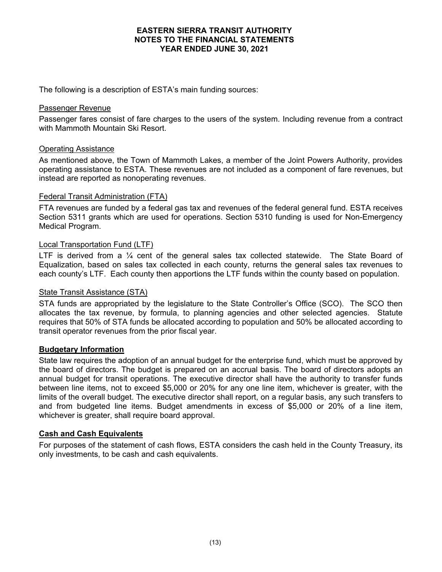The following is a description of ESTA's main funding sources:

### Passenger Revenue

Passenger fares consist of fare charges to the users of the system. Including revenue from a contract with Mammoth Mountain Ski Resort.

### Operating Assistance

As mentioned above, the Town of Mammoth Lakes, a member of the Joint Powers Authority, provides operating assistance to ESTA. These revenues are not included as a component of fare revenues, but instead are reported as nonoperating revenues.

### Federal Transit Administration (FTA)

FTA revenues are funded by a federal gas tax and revenues of the federal general fund. ESTA receives Section 5311 grants which are used for operations. Section 5310 funding is used for Non-Emergency Medical Program.

### Local Transportation Fund (LTF)

LTF is derived from a  $\frac{1}{4}$  cent of the general sales tax collected statewide. The State Board of Equalization, based on sales tax collected in each county, returns the general sales tax revenues to each county's LTF. Each county then apportions the LTF funds within the county based on population.

### State Transit Assistance (STA)

STA funds are appropriated by the legislature to the State Controller's Office (SCO). The SCO then allocates the tax revenue, by formula, to planning agencies and other selected agencies. Statute requires that 50% of STA funds be allocated according to population and 50% be allocated according to transit operator revenues from the prior fiscal year.

# **Budgetary Information**

State law requires the adoption of an annual budget for the enterprise fund, which must be approved by the board of directors. The budget is prepared on an accrual basis. The board of directors adopts an annual budget for transit operations. The executive director shall have the authority to transfer funds between line items, not to exceed \$5,000 or 20% for any one line item, whichever is greater, with the limits of the overall budget. The executive director shall report, on a regular basis, any such transfers to and from budgeted line items. Budget amendments in excess of \$5,000 or 20% of a line item, whichever is greater, shall require board approval.

# **Cash and Cash Equivalents**

For purposes of the statement of cash flows, ESTA considers the cash held in the County Treasury, its only investments, to be cash and cash equivalents.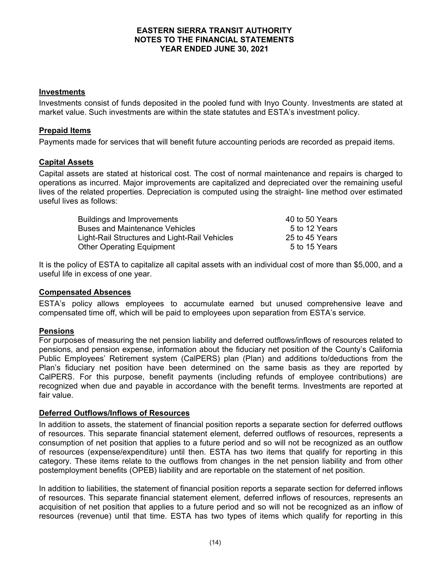### **Investments**

Investments consist of funds deposited in the pooled fund with Inyo County. Investments are stated at market value. Such investments are within the state statutes and ESTA's investment policy.

### **Prepaid Items**

Payments made for services that will benefit future accounting periods are recorded as prepaid items.

# **Capital Assets**

Capital assets are stated at historical cost. The cost of normal maintenance and repairs is charged to operations as incurred. Major improvements are capitalized and depreciated over the remaining useful lives of the related properties. Depreciation is computed using the straight- line method over estimated useful lives as follows:

| Buildings and Improvements                    | 40 to 50 Years |
|-----------------------------------------------|----------------|
| <b>Buses and Maintenance Vehicles</b>         | 5 to 12 Years  |
| Light-Rail Structures and Light-Rail Vehicles | 25 to 45 Years |
| <b>Other Operating Equipment</b>              | 5 to 15 Years  |

It is the policy of ESTA to capitalize all capital assets with an individual cost of more than \$5,000, and a useful life in excess of one year.

### **Compensated Absences**

ESTA's policy allows employees to accumulate earned but unused comprehensive leave and compensated time off, which will be paid to employees upon separation from ESTA's service.

# **Pensions**

For purposes of measuring the net pension liability and deferred outflows/inflows of resources related to pensions, and pension expense, information about the fiduciary net position of the County's California Public Employees' Retirement system (CalPERS) plan (Plan) and additions to/deductions from the Plan's fiduciary net position have been determined on the same basis as they are reported by CalPERS. For this purpose, benefit payments (including refunds of employee contributions) are recognized when due and payable in accordance with the benefit terms. Investments are reported at fair value.

### **Deferred Outflows/Inflows of Resources**

In addition to assets, the statement of financial position reports a separate section for deferred outflows of resources. This separate financial statement element, deferred outflows of resources, represents a consumption of net position that applies to a future period and so will not be recognized as an outflow of resources (expense/expenditure) until then. ESTA has two items that qualify for reporting in this category. These items relate to the outflows from changes in the net pension liability and from other postemployment benefits (OPEB) liability and are reportable on the statement of net position.

In addition to liabilities, the statement of financial position reports a separate section for deferred inflows of resources. This separate financial statement element, deferred inflows of resources, represents an acquisition of net position that applies to a future period and so will not be recognized as an inflow of resources (revenue) until that time. ESTA has two types of items which qualify for reporting in this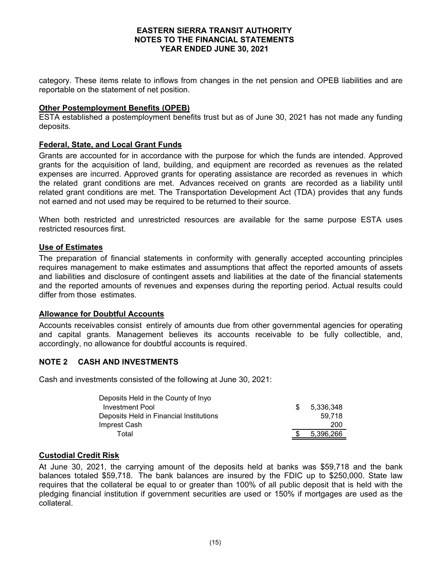category. These items relate to inflows from changes in the net pension and OPEB liabilities and are reportable on the statement of net position.

### **Other Postemployment Benefits (OPEB)**

ESTA established a postemployment benefits trust but as of June 30, 2021 has not made any funding deposits.

### **Federal, State, and Local Grant Funds**

Grants are accounted for in accordance with the purpose for which the funds are intended. Approved grants for the acquisition of land, building, and equipment are recorded as revenues as the related expenses are incurred. Approved grants for operating assistance are recorded as revenues in which the related grant conditions are met. Advances received on grants are recorded as a liability until related grant conditions are met. The Transportation Development Act (TDA) provides that any funds not earned and not used may be required to be returned to their source.

When both restricted and unrestricted resources are available for the same purpose ESTA uses restricted resources first.

### **Use of Estimates**

The preparation of financial statements in conformity with generally accepted accounting principles requires management to make estimates and assumptions that affect the reported amounts of assets and liabilities and disclosure of contingent assets and liabilities at the date of the financial statements and the reported amounts of revenues and expenses during the reporting period. Actual results could differ from those estimates.

### **Allowance for Doubtful Accounts**

Accounts receivables consist entirely of amounts due from other governmental agencies for operating and capital grants. Management believes its accounts receivable to be fully collectible, and, accordingly, no allowance for doubtful accounts is required.

# **NOTE 2 CASH AND INVESTMENTS**

Cash and investments consisted of the following at June 30, 2021:

| Deposits Held in the County of Inyo     |     |           |
|-----------------------------------------|-----|-----------|
| <b>Investment Pool</b>                  | \$. | 5.336.348 |
| Deposits Held in Financial Institutions |     | 59.718    |
| Imprest Cash                            |     | 200       |
| Total                                   |     | 5,396,266 |

# **Custodial Credit Risk**

At June 30, 2021, the carrying amount of the deposits held at banks was \$59,718 and the bank balances totaled \$59,718. The bank balances are insured by the FDIC up to \$250,000. State law requires that the collateral be equal to or greater than 100% of all public deposit that is held with the pledging financial institution if government securities are used or 150% if mortgages are used as the collateral.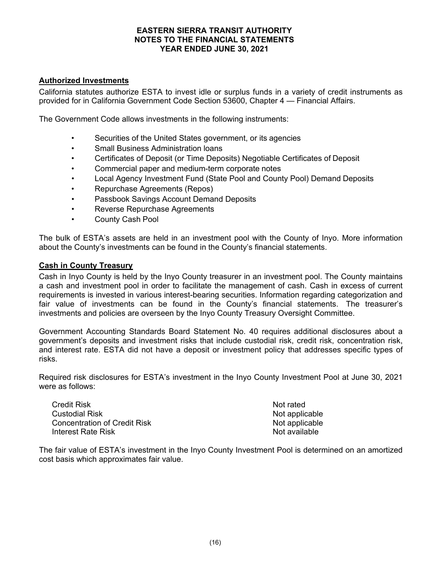# **Authorized Investments**

California statutes authorize ESTA to invest idle or surplus funds in a variety of credit instruments as provided for in California Government Code Section 53600, Chapter 4 — Financial Affairs.

The Government Code allows investments in the following instruments:

- Securities of the United States government, or its agencies
- Small Business Administration loans
- Certificates of Deposit (or Time Deposits) Negotiable Certificates of Deposit
- Commercial paper and medium-term corporate notes
- Local Agency Investment Fund (State Pool and County Pool) Demand Deposits
- Repurchase Agreements (Repos)
- Passbook Savings Account Demand Deposits
- Reverse Repurchase Agreements
- County Cash Pool

The bulk of ESTA's assets are held in an investment pool with the County of Inyo. More information about the County's investments can be found in the County's financial statements.

### **Cash in County Treasury**

Cash in Inyo County is held by the Inyo County treasurer in an investment pool. The County maintains a cash and investment pool in order to facilitate the management of cash. Cash in excess of current requirements is invested in various interest-bearing securities. Information regarding categorization and fair value of investments can be found in the County's financial statements. The treasurer's investments and policies are overseen by the Inyo County Treasury Oversight Committee.

Government Accounting Standards Board Statement No. 40 requires additional disclosures about a government's deposits and investment risks that include custodial risk, credit risk, concentration risk, and interest rate. ESTA did not have a deposit or investment policy that addresses specific types of risks.

Required risk disclosures for ESTA's investment in the Inyo County Investment Pool at June 30, 2021 were as follows:

Credit Risk Not rated Custodial Risk Not applicable Not applicable Concentration of Credit Risk Not applicable Not applicable Interest Rate Risk Not available Not available

The fair value of ESTA's investment in the Inyo County Investment Pool is determined on an amortized cost basis which approximates fair value.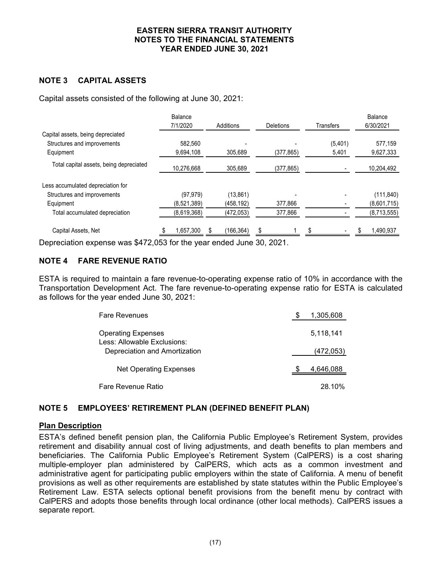# **NOTE 3 CAPITAL ASSETS**

Capital assets consisted of the following at June 30, 2021:

|                                         | Balance<br>7/1/2020 | Additions  | Deletions  | Transfers | Balance<br>6/30/2021 |
|-----------------------------------------|---------------------|------------|------------|-----------|----------------------|
| Capital assets, being depreciated       |                     |            |            |           |                      |
| Structures and improvements             | 582.560             |            |            | (5,401)   | 577,159              |
| Equipment                               | 9,694,108           | 305,689    | (377, 865) | 5,401     | 9,627,333            |
| Total capital assets, being depreciated | 10,276,668          | 305,689    | (377, 865) |           | 10,204,492           |
| Less accumulated depreciation for       |                     |            |            |           |                      |
| Structures and improvements             | (97.979)            | (13, 861)  |            |           | (111, 840)           |
| Equipment                               | (8,521,389)         | (458, 192) | 377.866    |           | (8,601,715)          |
| Total accumulated depreciation          | (8,619,368)         | (472, 053) | 377,866    |           | (8,713,555)          |
| Capital Assets, Net                     | .657,300            | (166,364)  | \$         | \$        | 1,490,937            |

Depreciation expense was \$472,053 for the year ended June 30, 2021.

# **NOTE 4 FARE REVENUE RATIO**

ESTA is required to maintain a fare revenue-to-operating expense ratio of 10% in accordance with the Transportation Development Act. The fare revenue-to-operating expense ratio for ESTA is calculated as follows for the year ended June 30, 2021:

| <b>Fare Revenues</b>                              |  | 1,305,608  |
|---------------------------------------------------|--|------------|
| Operating Expenses<br>Less: Allowable Exclusions: |  | 5,118,141  |
| Depreciation and Amortization                     |  | (472, 053) |
| <b>Net Operating Expenses</b>                     |  | 4,646,088  |
| Fare Revenue Ratio                                |  | 28.10%     |

# **NOTE 5 EMPLOYEES' RETIREMENT PLAN (DEFINED BENEFIT PLAN)**

### **Plan Description**

ESTA's defined benefit pension plan, the California Public Employee's Retirement System, provides retirement and disability annual cost of living adjustments, and death benefits to plan members and beneficiaries. The California Public Employee's Retirement System (CalPERS) is a cost sharing multiple-employer plan administered by CalPERS, which acts as a common investment and administrative agent for participating public employers within the state of California. A menu of benefit provisions as well as other requirements are established by state statutes within the Public Employee's Retirement Law. ESTA selects optional benefit provisions from the benefit menu by contract with CalPERS and adopts those benefits through local ordinance (other local methods). CalPERS issues a separate report.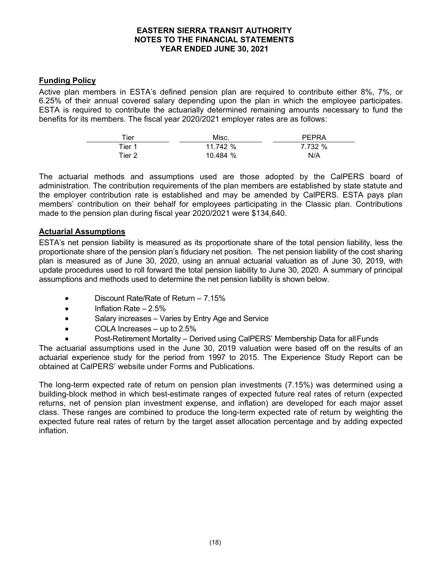# **Funding Policy**

Active plan members in ESTA's defined pension plan are required to contribute either 8%, 7%, or 6.25% of their annual covered salary depending upon the plan in which the employee participates. ESTA is required to contribute the actuarially determined remaining amounts necessary to fund the benefits for its members. The fiscal year 2020/2021 employer rates are as follows:

| $\mathsf{r}_{\mathsf{ier}}$ | Misc.    | PFPRA   |
|-----------------------------|----------|---------|
| Tier 1                      | 11.742 % | 7.732 % |
| Tier 2                      | 10.484 % | N/A     |

The actuarial methods and assumptions used are those adopted by the CalPERS board of administration. The contribution requirements of the plan members are established by state statute and the employer contribution rate is established and may be amended by CalPERS. ESTA pays plan members' contribution on their behalf for employees participating in the Classic plan. Contributions made to the pension plan during fiscal year 2020/2021 were \$134,640.

# **Actuarial Assumptions**

ESTA's net pension liability is measured as its proportionate share of the total pension liability, less the proportionate share of the pension plan's fiduciary net position. The net pension liability of the cost sharing plan is measured as of June 30, 2020, using an annual actuarial valuation as of June 30, 2019, with update procedures used to roll forward the total pension liability to June 30, 2020. A summary of principal assumptions and methods used to determine the net pension liability is shown below.

- Discount Rate/Rate of Return 7.15%
- $\bullet$  Inflation Rate 2.5%
- Salary increases Varies by Entry Age and Service
- COLA Increases up to 2.5%
- Post-Retirement Mortality Derived using CalPERS' Membership Data for all Funds

The actuarial assumptions used in the June 30, 2019 valuation were based off on the results of an actuarial experience study for the period from 1997 to 2015. The Experience Study Report can be obtained at CalPERS' website under Forms and Publications.

The long-term expected rate of return on pension plan investments (7.15%) was determined using a building-block method in which best-estimate ranges of expected future real rates of return (expected returns, net of pension plan investment expense, and inflation) are developed for each major asset class. These ranges are combined to produce the long-term expected rate of return by weighting the expected future real rates of return by the target asset allocation percentage and by adding expected inflation.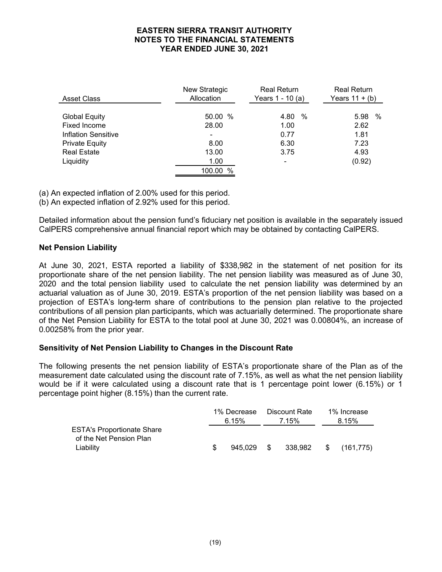| <b>Asset Class</b>         | New Strategic<br>Allocation | <b>Real Return</b><br>Years 1 - 10 (a) | <b>Real Return</b><br>Years $11 + (b)$ |
|----------------------------|-----------------------------|----------------------------------------|----------------------------------------|
| <b>Global Equity</b>       | 50.00<br>%                  | %<br>4.80                              | %<br>5.98                              |
| Fixed Income               | 28.00                       | 1.00                                   | 2.62                                   |
| <b>Inflation Sensitive</b> | -                           | 0.77                                   | 1.81                                   |
| <b>Private Equity</b>      | 8.00                        | 6.30                                   | 7.23                                   |
| <b>Real Estate</b>         | 13.00                       | 3.75                                   | 4.93                                   |
| Liquidity                  | 1.00                        | -                                      | (0.92)                                 |
|                            | 100.00<br>$\%$              |                                        |                                        |

(a) An expected inflation of 2.00% used for this period.

(b) An expected inflation of 2.92% used for this period.

Detailed information about the pension fund's fiduciary net position is available in the separately issued CalPERS comprehensive annual financial report which may be obtained by contacting CalPERS.

# **Net Pension Liability**

At June 30, 2021, ESTA reported a liability of \$338,982 in the statement of net position for its proportionate share of the net pension liability. The net pension liability was measured as of June 30, 2020 and the total pension liability used to calculate the net pension liability was determined by an actuarial valuation as of June 30, 2019. ESTA's proportion of the net pension liability was based on a projection of ESTA's long-term share of contributions to the pension plan relative to the projected contributions of all pension plan participants, which was actuarially determined. The proportionate share of the Net Pension Liability for ESTA to the total pool at June 30, 2021 was 0.00804%, an increase of 0.00258% from the prior year.

# **Sensitivity of Net Pension Liability to Changes in the Discount Rate**

The following presents the net pension liability of ESTA's proportionate share of the Plan as of the measurement date calculated using the discount rate of 7.15%, as well as what the net pension liability would be if it were calculated using a discount rate that is 1 percentage point lower (6.15%) or 1 percentage point higher (8.15%) than the current rate.

|                                                              | 1% Decrease<br>6.15% |         |            | Discount Rate<br>7 15% | 1% Increase<br>8.15% |  |  |
|--------------------------------------------------------------|----------------------|---------|------------|------------------------|----------------------|--|--|
| <b>ESTA's Proportionate Share</b><br>of the Net Pension Plan |                      |         |            |                        |                      |  |  |
| Liability                                                    |                      | 945.029 | $\cdot$ \$ | 338.982                | \$ (161.775)         |  |  |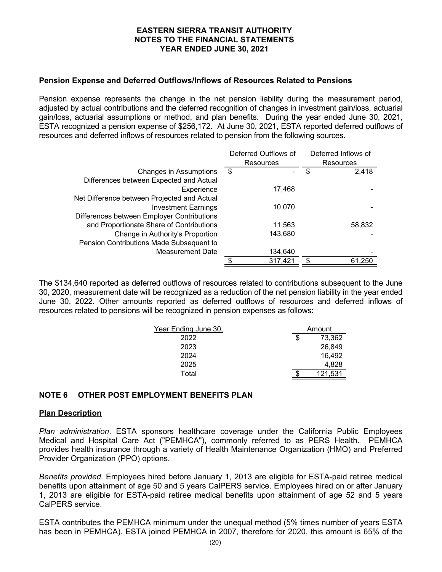### **Pension Expense and Deferred Outflows/Inflows of Resources Related to Pensions**

Pension expense represents the change in the net pension liability during the measurement period, adjusted by actual contributions and the deferred recognition of changes in investment gain/loss, actuarial gain/loss, actuarial assumptions or method, and plan benefits. During the year ended June 30, 2021, ESTA recognized a pension expense of \$256,172. At June 30, 2021, ESTA reported deferred outflows of resources and deferred inflows of resources related to pension from the following sources.

|                                             |    | Deferred Outflows of<br>Resources | Deferred Inflows of<br>Resources |        |  |
|---------------------------------------------|----|-----------------------------------|----------------------------------|--------|--|
| Changes in Assumptions                      | \$ |                                   | \$                               | 2,418  |  |
| Differences between Expected and Actual     |    |                                   |                                  |        |  |
| Experience                                  |    | 17,468                            |                                  |        |  |
| Net Difference between Projected and Actual |    |                                   |                                  |        |  |
| <b>Investment Earnings</b>                  |    | 10,070                            |                                  |        |  |
| Differences between Employer Contributions  |    |                                   |                                  |        |  |
| and Proportionate Share of Contributions    |    | 11,563                            |                                  | 58,832 |  |
| Change in Authority's Proportion            |    | 143,680                           |                                  |        |  |
| Pension Contributions Made Subsequent to    |    |                                   |                                  |        |  |
| <b>Measurement Date</b>                     |    | 134,640                           |                                  |        |  |
|                                             |    | 317,421                           |                                  | 61.250 |  |

The \$134,640 reported as deferred outflows of resources related to contributions subsequent to the June 30, 2020, measurement date will be recognized as a reduction of the net pension liability in the year ended June 30, 2022. Other amounts reported as deferred outflows of resources and deferred inflows of resources related to pensions will be recognized in pension expenses as follows:

| Year Ending June 30, | Amount |         |  |
|----------------------|--------|---------|--|
| 2022                 | S      | 73,362  |  |
| 2023                 |        | 26,849  |  |
| 2024                 |        | 16,492  |  |
| 2025                 |        | 4.828   |  |
| Total                |        | 121,531 |  |

# **NOTE 6 OTHER POST EMPLOYMENT BENEFITS PLAN**

### **Plan Description**

*Plan administration*. ESTA sponsors healthcare coverage under the California Public Employees Medical and Hospital Care Act ("PEMHCA"), commonly referred to as PERS Health. PEMHCA provides health insurance through a variety of Health Maintenance Organization (HMO) and Preferred Provider Organization (PPO) options.

*Benefits provided*. Employees hired before January 1, 2013 are eligible for ESTA-paid retiree medical benefits upon attainment of age 50 and 5 years CalPERS service. Employees hired on or after January 1, 2013 are eligible for ESTA-paid retiree medical benefits upon attainment of age 52 and 5 years CalPERS service.

ESTA contributes the PEMHCA minimum under the unequal method (5% times number of years ESTA has been in PEMHCA). ESTA joined PEMHCA in 2007, therefore for 2020, this amount is 65% of the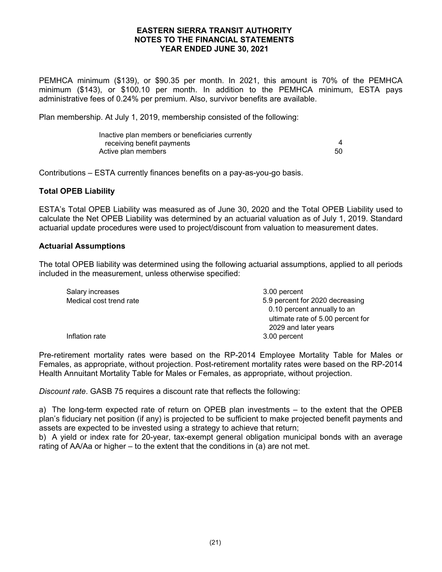PEMHCA minimum (\$139), or \$90.35 per month. In 2021, this amount is 70% of the PEMHCA minimum (\$143), or \$100.10 per month. In addition to the PEMHCA minimum, ESTA pays administrative fees of 0.24% per premium. Also, survivor benefits are available.

Plan membership. At July 1, 2019, membership consisted of the following:

| Inactive plan members or beneficiaries currently |    |
|--------------------------------------------------|----|
| receiving benefit payments                       |    |
| Active plan members                              | 50 |

Contributions – ESTA currently finances benefits on a pay-as-you-go basis.

### **Total OPEB Liability**

ESTA's Total OPEB Liability was measured as of June 30, 2020 and the Total OPEB Liability used to calculate the Net OPEB Liability was determined by an actuarial valuation as of July 1, 2019. Standard actuarial update procedures were used to project/discount from valuation to measurement dates.

### **Actuarial Assumptions**

The total OPEB liability was determined using the following actuarial assumptions, applied to all periods included in the measurement, unless otherwise specified:

| Salary increases        | 3.00 percent                      |
|-------------------------|-----------------------------------|
| Medical cost trend rate | 5.9 percent for 2020 decreasing   |
|                         | 0.10 percent annually to an       |
|                         | ultimate rate of 5.00 percent for |
|                         | 2029 and later years              |
| Inflation rate          | 3.00 percent                      |

Pre-retirement mortality rates were based on the RP-2014 Employee Mortality Table for Males or Females, as appropriate, without projection. Post-retirement mortality rates were based on the RP-2014 Health Annuitant Mortality Table for Males or Females, as appropriate, without projection.

*Discount rate*. GASB 75 requires a discount rate that reflects the following:

a) The long-term expected rate of return on OPEB plan investments – to the extent that the OPEB plan's fiduciary net position (if any) is projected to be sufficient to make projected benefit payments and assets are expected to be invested using a strategy to achieve that return;

b) A yield or index rate for 20-year, tax-exempt general obligation municipal bonds with an average rating of AA/Aa or higher – to the extent that the conditions in (a) are not met.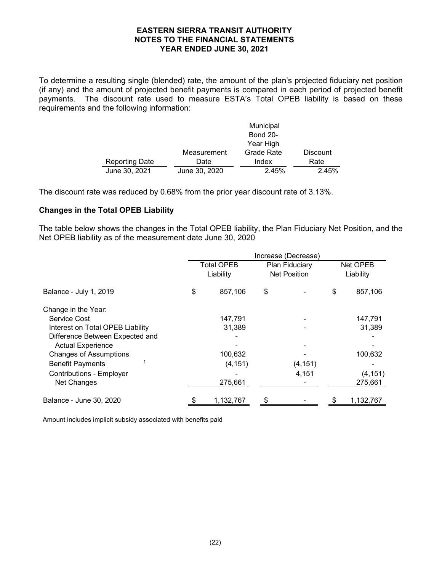To determine a resulting single (blended) rate, the amount of the plan's projected fiduciary net position (if any) and the amount of projected benefit payments is compared in each period of projected benefit payments. The discount rate used to measure ESTA's Total OPEB liability is based on these requirements and the following information:

|                       |               | Municipal       |          |
|-----------------------|---------------|-----------------|----------|
|                       |               | <b>Bond 20-</b> |          |
|                       |               | Year High       |          |
|                       | Measurement   | Grade Rate      | Discount |
| <b>Reporting Date</b> | Date          | Index           | Rate     |
| June 30, 2021         | June 30, 2020 | 2.45%           | 2.45%    |

The discount rate was reduced by 0.68% from the prior year discount rate of 3.13%.

# **Changes in the Total OPEB Liability**

The table below shows the changes in the Total OPEB liability, the Plan Fiduciary Net Position, and the Net OPEB liability as of the measurement date June 30, 2020

|                                  | Increase (Decrease)            |           |    |                                       |    |                       |  |  |
|----------------------------------|--------------------------------|-----------|----|---------------------------------------|----|-----------------------|--|--|
| Balance - July 1, 2019           | <b>Total OPEB</b><br>Liability |           |    | Plan Fiduciary<br><b>Net Position</b> |    | Net OPEB<br>Liability |  |  |
|                                  | \$                             | 857,106   | \$ |                                       | \$ | 857,106               |  |  |
| Change in the Year:              |                                |           |    |                                       |    |                       |  |  |
| Service Cost                     |                                | 147,791   |    |                                       |    | 147,791               |  |  |
| Interest on Total OPEB Liability |                                | 31,389    |    |                                       |    | 31,389                |  |  |
| Difference Between Expected and  |                                |           |    |                                       |    |                       |  |  |
| <b>Actual Experience</b>         |                                |           |    |                                       |    |                       |  |  |
| <b>Changes of Assumptions</b>    |                                | 100,632   |    |                                       |    | 100,632               |  |  |
| <b>Benefit Payments</b>          |                                | (4, 151)  |    | (4, 151)                              |    |                       |  |  |
| <b>Contributions - Employer</b>  |                                |           |    | 4,151                                 |    | (4, 151)              |  |  |
| <b>Net Changes</b>               |                                | 275,661   |    |                                       |    | 275,661               |  |  |
| Balance - June 30, 2020          |                                | 1,132,767 |    |                                       |    | 1,132,767             |  |  |

Amount includes implicit subsidy associated with benefits paid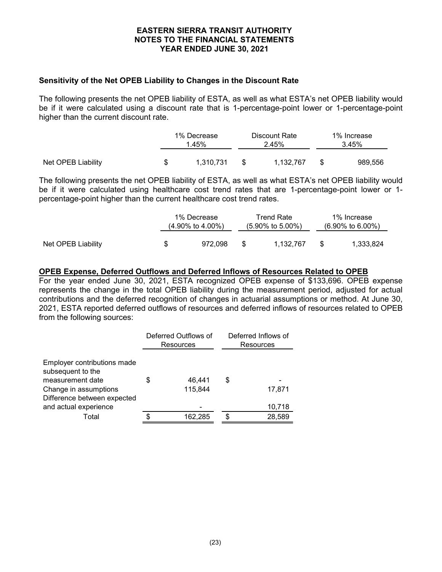# **Sensitivity of the Net OPEB Liability to Changes in the Discount Rate**

The following presents the net OPEB liability of ESTA, as well as what ESTA's net OPEB liability would be if it were calculated using a discount rate that is 1-percentage-point lower or 1-percentage-point higher than the current discount rate.

|                    | 1% Decrease<br>1.45% |           |     | Discount Rate<br>2.45% |  | 1% Increase<br>3.45% |  |  |
|--------------------|----------------------|-----------|-----|------------------------|--|----------------------|--|--|
| Net OPEB Liability |                      | 1.310.731 | \$. | 1.132.767              |  | 989,556              |  |  |

The following presents the net OPEB liability of ESTA, as well as what ESTA's net OPEB liability would be if it were calculated using healthcare cost trend rates that are 1-percentage-point lower or 1 percentage-point higher than the current healthcare cost trend rates.

|                    | 1% Decrease<br>$(4.90\% \text{ to } 4.00\%)$ |         | Trend Rate<br>$(5.90\% \text{ to } 5.00\%)$ | 1% Increase<br>$(6.90\% \text{ to } 6.00\%)$ |           |  |
|--------------------|----------------------------------------------|---------|---------------------------------------------|----------------------------------------------|-----------|--|
| Net OPEB Liability |                                              | 972.098 | 1.132.767                                   |                                              | 1,333,824 |  |

### **OPEB Expense, Deferred Outflows and Deferred Inflows of Resources Related to OPEB**

For the year ended June 30, 2021, ESTA recognized OPEB expense of \$133,696. OPEB expense represents the change in the total OPEB liability during the measurement period, adjusted for actual contributions and the deferred recognition of changes in actuarial assumptions or method. At June 30, 2021, ESTA reported deferred outflows of resources and deferred inflows of resources related to OPEB from the following sources:

|                                                                                                                                                       | Deferred Outflows of<br>Resources |                   | Deferred Inflows of<br>Resources |                  |  |
|-------------------------------------------------------------------------------------------------------------------------------------------------------|-----------------------------------|-------------------|----------------------------------|------------------|--|
| Employer contributions made<br>subsequent to the<br>measurement date<br>Change in assumptions<br>Difference between expected<br>and actual experience | S                                 | 46,441<br>115,844 | S                                | 17,871<br>10,718 |  |
| Total                                                                                                                                                 |                                   | 162,285           |                                  | 28,589           |  |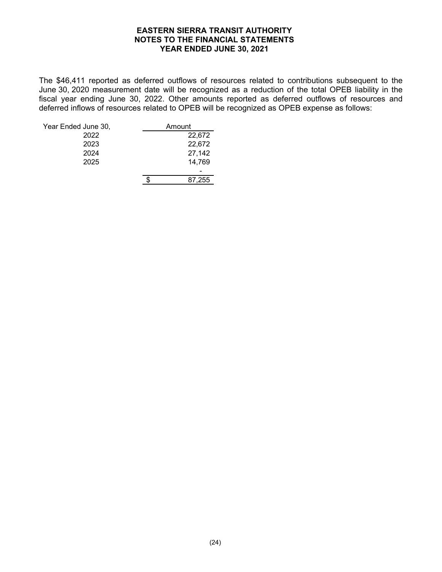The \$46,411 reported as deferred outflows of resources related to contributions subsequent to the June 30, 2020 measurement date will be recognized as a reduction of the total OPEB liability in the fiscal year ending June 30, 2022. Other amounts reported as deferred outflows of resources and deferred inflows of resources related to OPEB will be recognized as OPEB expense as follows:

| Year Ended June 30, | Amount |
|---------------------|--------|
| 2022                | 22,672 |
| 2023                | 22,672 |
| 2024                | 27,142 |
| 2025                | 14,769 |
|                     |        |
|                     | 87,255 |
|                     |        |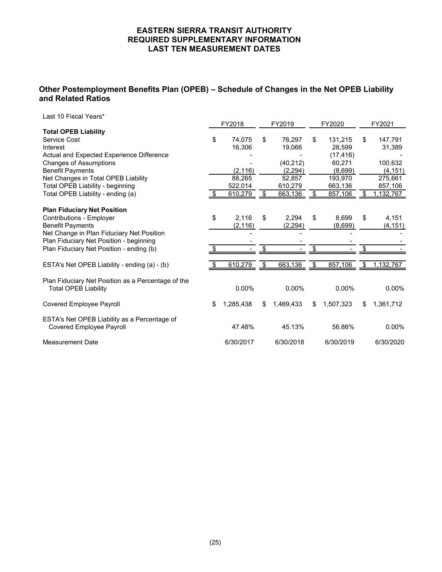### **EASTERN SIERRA TRANSIT AUTHORITY REQUIRED SUPPLEMENTARY INFORMATION LAST TEN MEASUREMENT DATES**

# **Other Postemployment Benefits Plan (OPEB) – Schedule of Changes in the Net OPEB Liability and Related Ratios**

Last 10 Fiscal Years\*

|                                                    | FY2018 |           | FY2019 |           | FY2020     |           |            | FY2021    |
|----------------------------------------------------|--------|-----------|--------|-----------|------------|-----------|------------|-----------|
| <b>Total OPEB Liability</b>                        |        |           |        |           |            |           |            |           |
| Service Cost                                       | \$     | 74,075    | \$     | 76,297    | \$         | 131,215   | \$         | 147,791   |
| Interest                                           |        | 16,306    |        | 19,066    |            | 28,599    |            | 31,389    |
| Actual and Expected Experience Difference          |        |           |        |           |            | (17, 416) |            |           |
| <b>Changes of Assumptions</b>                      |        |           |        | (40, 212) |            | 60,271    |            | 100,632   |
| <b>Benefit Payments</b>                            |        | (2, 116)  |        | (2, 294)  |            | (8,699)   |            | (4, 151)  |
| Net Changes in Total OPEB Liability                |        | 88,265    |        | 52.857    |            | 193,970   |            | 275,661   |
| Total OPEB Liability - beginning                   |        | 522,014   |        | 610,279   |            | 663,136   |            | 857,106   |
| Total OPEB Liability - ending (a)                  |        | 610,279   | \$     | 663,136   | \$         | 857,106   | \$         | 1,132,767 |
| <b>Plan Fiduciary Net Position</b>                 |        |           |        |           |            |           |            |           |
| <b>Contributions - Employer</b>                    | \$     | 2,116     | \$     | 2.294     | \$         | 8.699     | \$         | 4.151     |
| <b>Benefit Payments</b>                            |        | (2, 116)  |        | (2, 294)  |            | (8,699)   |            | (4, 151)  |
| Net Change in Plan Fiduciary Net Position          |        |           |        |           |            |           |            |           |
| Plan Fiduciary Net Position - beginning            |        |           |        |           |            |           |            |           |
| Plan Fiduciary Net Position - ending (b)           | \$     |           | \$.    |           | \$         |           | \$         |           |
|                                                    |        |           |        |           |            |           |            |           |
| ESTA's Net OPEB Liability - ending (a) - (b)       | \$     | 610,279   | \$     | 663,136   | $\sqrt{3}$ | 857,106   | $\sqrt{3}$ | 1,132,767 |
| Plan Fiduciary Net Position as a Percentage of the |        |           |        |           |            |           |            |           |
| <b>Total OPEB Liability</b>                        |        | 0.00%     |        | 0.00%     |            | 0.00%     |            | $0.00\%$  |
|                                                    |        |           |        |           |            |           |            |           |
| Covered Employee Payroll                           | \$     | 1,285,438 | \$     | 1,469,433 | \$         | 1,507,323 | \$         | 1,361,712 |
| ESTA's Net OPEB Liability as a Percentage of       |        |           |        |           |            |           |            |           |
| <b>Covered Employee Payroll</b>                    |        | 47.48%    |        | 45.13%    |            | 56.86%    |            | $0.00\%$  |
|                                                    |        |           |        |           |            |           |            |           |
| <b>Measurement Date</b>                            |        | 6/30/2017 |        | 6/30/2018 |            | 6/30/2019 |            | 6/30/2020 |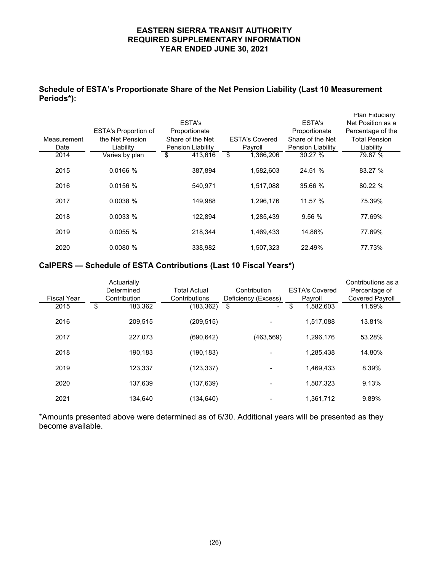### **EASTERN SIERRA TRANSIT AUTHORITY REQUIRED SUPPLEMENTARY INFORMATION YEAR ENDED JUNE 30, 2021**

# **Schedule of ESTA's Proportionate Share of the Net Pension Liability (Last 10 Measurement Periods\*):**

|             |                                                | ESTA's                            |                                     | ESTA's                            | <b>Plan Fiduciary</b><br>Net Position as a |
|-------------|------------------------------------------------|-----------------------------------|-------------------------------------|-----------------------------------|--------------------------------------------|
| Measurement | <b>ESTA's Proportion of</b><br>the Net Pension | Proportionate<br>Share of the Net | <b>ESTA's Covered</b>               | Proportionate<br>Share of the Net | Percentage of the<br><b>Total Pension</b>  |
| Date        | Liability                                      | <b>Pension Liability</b>          | <b>Pension Liability</b><br>Payroll |                                   | Liability                                  |
| 2014        | Varies by plan                                 | \$<br>413,616                     | \$<br>1,366,206                     | 30.27 %                           | 79.87 %                                    |
| 2015        | 0.0166%                                        | 387.894                           | 1,582,603                           | 24.51 %                           | 83.27 %                                    |
| 2016        | 0.0156%                                        | 540.971                           | 1.517.088                           | 35.66 %                           | 80.22 %                                    |
| 2017        | 0.0038%                                        | 149,988                           | 1,296,176                           | 11.57 %                           | 75.39%                                     |
| 2018        | 0.0033%                                        | 122,894                           | 1,285,439                           | 9.56%                             | 77.69%                                     |
| 2019        | 0.0055%                                        | 218,344                           | 1,469,433                           | 14.86%                            | 77.69%                                     |
| 2020        | 0.0080%                                        | 338,982                           | 1,507,323                           | 22.49%                            | 77.73%                                     |

# **CalPERS — Schedule of ESTA Contributions (Last 10 Fiscal Years\*)**

|                    | Actuarially<br>Determined | <b>Total Actual</b> | Contribution         |    | <b>ESTA's Covered</b> | Contributions as a<br>Percentage of |  |
|--------------------|---------------------------|---------------------|----------------------|----|-----------------------|-------------------------------------|--|
| <b>Fiscal Year</b> | Contribution              | Contributions       | Deficiency (Excess)  |    | Pavroll               | <b>Covered Payroll</b>              |  |
| 2015               | \$<br>183,362             | (183, 362)          | \$<br>$\blacksquare$ | \$ | 1,582,603             | 11.59%                              |  |
| 2016               | 209,515                   | (209, 515)          |                      |    | 1,517,088             | 13.81%                              |  |
| 2017               | 227.073                   | (690, 642)          | (463, 569)           |    | 1,296,176             | 53.28%                              |  |
| 2018               | 190.183                   | (190, 183)          |                      |    | 1,285,438             | 14.80%                              |  |
| 2019               | 123.337                   | (123, 337)          |                      |    | 1.469.433             | 8.39%                               |  |
| 2020               | 137.639                   | (137, 639)          |                      |    | 1,507,323             | 9.13%                               |  |
| 2021               | 134.640                   | (134, 640)          |                      |    | 1,361,712             | 9.89%                               |  |

\*Amounts presented above were determined as of 6/30. Additional years will be presented as they become available.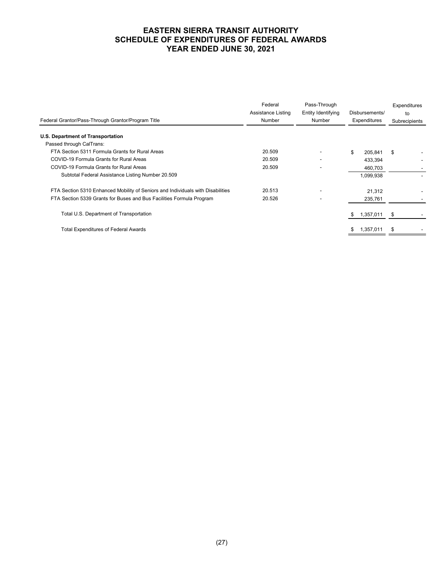# **EASTERN SIERRA TRANSIT AUTHORITY SCHEDULE OF EXPENDITURES OF FEDERAL AWARDS YEAR ENDED JUNE 30, 2021**

| Federal Grantor/Pass-Through Grantor/Program Title                              | Federal<br>Assistance Listing<br>Number | Pass-Through<br>Entity Identifying<br>Number | Disbursements/<br>Expenditures | Expenditures<br>to<br>Subrecipients |  |
|---------------------------------------------------------------------------------|-----------------------------------------|----------------------------------------------|--------------------------------|-------------------------------------|--|
| U.S. Department of Transportation                                               |                                         |                                              |                                |                                     |  |
| Passed through CalTrans:                                                        |                                         |                                              |                                |                                     |  |
| FTA Section 5311 Formula Grants for Rural Areas                                 | 20.509                                  |                                              | \$<br>205,841                  | \$                                  |  |
| COVID-19 Formula Grants for Rural Areas                                         | 20.509                                  |                                              | 433,394                        |                                     |  |
| COVID-19 Formula Grants for Rural Areas                                         | 20.509                                  |                                              | 460,703                        |                                     |  |
| Subtotal Federal Assistance Listing Number 20.509                               |                                         |                                              | 1,099,938                      |                                     |  |
| FTA Section 5310 Enhanced Mobility of Seniors and Individuals with Disabilities | 20.513                                  |                                              | 21,312                         |                                     |  |
| FTA Section 5339 Grants for Buses and Bus Facilities Formula Program            | 20.526                                  |                                              | 235,761                        |                                     |  |
| Total U.S. Department of Transportation                                         |                                         |                                              | 1,357,011<br>\$                | \$                                  |  |
| <b>Total Expenditures of Federal Awards</b>                                     |                                         |                                              | 1.357.011                      | \$                                  |  |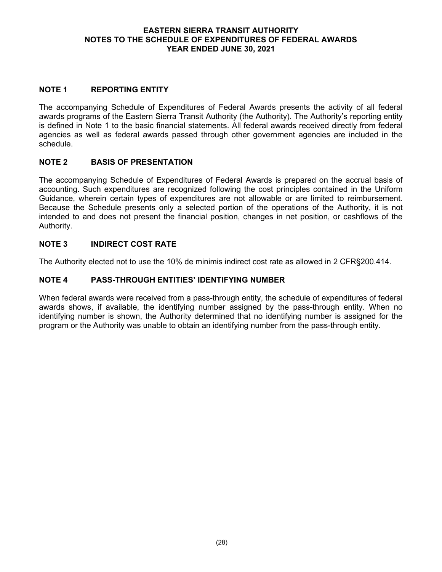### **EASTERN SIERRA TRANSIT AUTHORITY NOTES TO THE SCHEDULE OF EXPENDITURES OF FEDERAL AWARDS YEAR ENDED JUNE 30, 2021**

# **NOTE 1 REPORTING ENTITY**

The accompanying Schedule of Expenditures of Federal Awards presents the activity of all federal awards programs of the Eastern Sierra Transit Authority (the Authority). The Authority's reporting entity is defined in Note 1 to the basic financial statements. All federal awards received directly from federal agencies as well as federal awards passed through other government agencies are included in the schedule.

# **NOTE 2 BASIS OF PRESENTATION**

The accompanying Schedule of Expenditures of Federal Awards is prepared on the accrual basis of accounting. Such expenditures are recognized following the cost principles contained in the Uniform Guidance, wherein certain types of expenditures are not allowable or are limited to reimbursement*.* Because the Schedule presents only a selected portion of the operations of the Authority, it is not intended to and does not present the financial position, changes in net position, or cashflows of the Authority.

# **NOTE 3 INDIRECT COST RATE**

The Authority elected not to use the 10% de minimis indirect cost rate as allowed in 2 CFR§200.414.

# **NOTE 4 PASS-THROUGH ENTITIES' IDENTIFYING NUMBER**

When federal awards were received from a pass-through entity, the schedule of expenditures of federal awards shows, if available, the identifying number assigned by the pass-through entity. When no identifying number is shown, the Authority determined that no identifying number is assigned for the program or the Authority was unable to obtain an identifying number from the pass-through entity.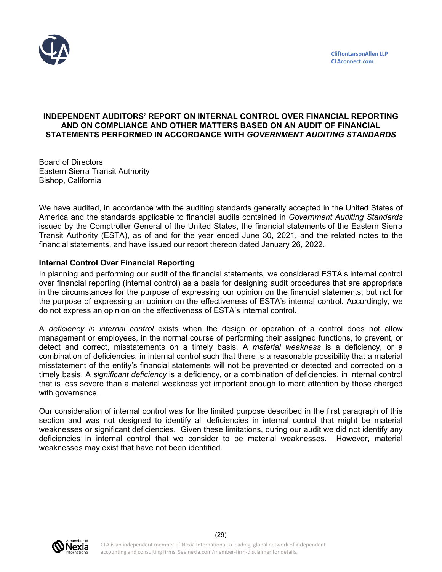

### **INDEPENDENT AUDITORS' REPORT ON INTERNAL CONTROL OVER FINANCIAL REPORTING AND ON COMPLIANCE AND OTHER MATTERS BASED ON AN AUDIT OF FINANCIAL STATEMENTS PERFORMED IN ACCORDANCE WITH** *GOVERNMENT AUDITING STANDARDS*

Board of Directors Eastern Sierra Transit Authority Bishop, California

We have audited, in accordance with the auditing standards generally accepted in the United States of America and the standards applicable to financial audits contained in *Government Auditing Standards*  issued by the Comptroller General of the United States, the financial statements of the Eastern Sierra Transit Authority (ESTA), as of and for the year ended June 30, 2021, and the related notes to the financial statements, and have issued our report thereon dated January 26, 2022.

# **Internal Control Over Financial Reporting**

In planning and performing our audit of the financial statements, we considered ESTA's internal control over financial reporting (internal control) as a basis for designing audit procedures that are appropriate in the circumstances for the purpose of expressing our opinion on the financial statements, but not for the purpose of expressing an opinion on the effectiveness of ESTA's internal control. Accordingly, we do not express an opinion on the effectiveness of ESTA's internal control.

A *deficiency in internal control* exists when the design or operation of a control does not allow management or employees, in the normal course of performing their assigned functions, to prevent, or detect and correct, misstatements on a timely basis. A *material weakness* is a deficiency, or a combination of deficiencies, in internal control such that there is a reasonable possibility that a material misstatement of the entity's financial statements will not be prevented or detected and corrected on a timely basis. A *significant deficiency* is a deficiency, or a combination of deficiencies, in internal control that is less severe than a material weakness yet important enough to merit attention by those charged with governance.

Our consideration of internal control was for the limited purpose described in the first paragraph of this section and was not designed to identify all deficiencies in internal control that might be material weaknesses or significant deficiencies. Given these limitations, during our audit we did not identify any deficiencies in internal control that we consider to be material weaknesses. However, material weaknesses may exist that have not been identified.

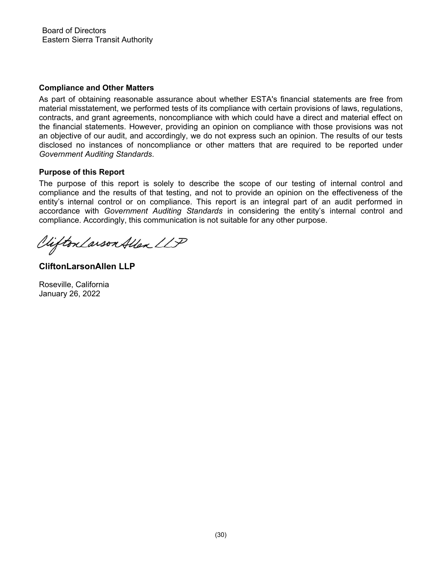### **Compliance and Other Matters**

As part of obtaining reasonable assurance about whether ESTA's financial statements are free from material misstatement, we performed tests of its compliance with certain provisions of laws, regulations, contracts, and grant agreements, noncompliance with which could have a direct and material effect on the financial statements. However, providing an opinion on compliance with those provisions was not an objective of our audit, and accordingly, we do not express such an opinion. The results of our tests disclosed no instances of noncompliance or other matters that are required to be reported under *Government Auditing Standards*.

### **Purpose of this Report**

The purpose of this report is solely to describe the scope of our testing of internal control and compliance and the results of that testing, and not to provide an opinion on the effectiveness of the entity's internal control or on compliance. This report is an integral part of an audit performed in accordance with *Government Auditing Standards* in considering the entity's internal control and compliance. Accordingly, this communication is not suitable for any other purpose.

Clifton Larson Allen LLP

**CliftonLarsonAllen LLP** 

Roseville, California January 26, 2022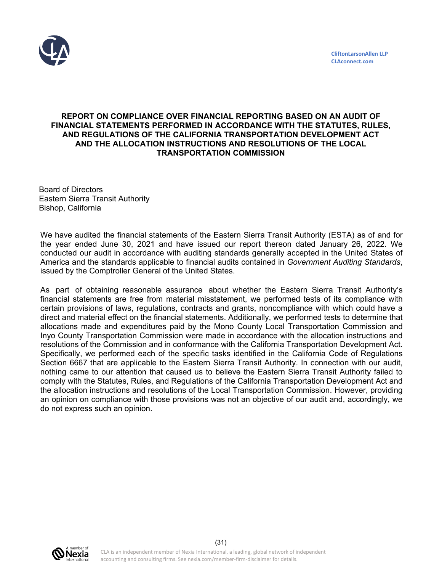

### **REPORT ON COMPLIANCE OVER FINANCIAL REPORTING BASED ON AN AUDIT OF FINANCIAL STATEMENTS PERFORMED IN ACCORDANCE WITH THE STATUTES, RULES, AND REGULATIONS OF THE CALIFORNIA TRANSPORTATION DEVELOPMENT ACT AND THE ALLOCATION INSTRUCTIONS AND RESOLUTIONS OF THE LOCAL TRANSPORTATION COMMISSION**

Board of Directors Eastern Sierra Transit Authority Bishop, California

We have audited the financial statements of the Eastern Sierra Transit Authority (ESTA) as of and for the year ended June 30, 2021 and have issued our report thereon dated January 26, 2022. We conducted our audit in accordance with auditing standards generally accepted in the United States of America and the standards applicable to financial audits contained in *Government Auditing Standards*, issued by the Comptroller General of the United States.

As part of obtaining reasonable assurance about whether the Eastern Sierra Transit Authority's financial statements are free from material misstatement, we performed tests of its compliance with certain provisions of laws, regulations, contracts and grants, noncompliance with which could have a direct and material effect on the financial statements. Additionally, we performed tests to determine that allocations made and expenditures paid by the Mono County Local Transportation Commission and Inyo County Transportation Commission were made in accordance with the allocation instructions and resolutions of the Commission and in conformance with the California Transportation Development Act. Specifically, we performed each of the specific tasks identified in the California Code of Regulations Section 6667 that are applicable to the Eastern Sierra Transit Authority. In connection with our audit, nothing came to our attention that caused us to believe the Eastern Sierra Transit Authority failed to comply with the Statutes, Rules, and Regulations of the California Transportation Development Act and the allocation instructions and resolutions of the Local Transportation Commission. However, providing an opinion on compliance with those provisions was not an objective of our audit and, accordingly, we do not express such an opinion.

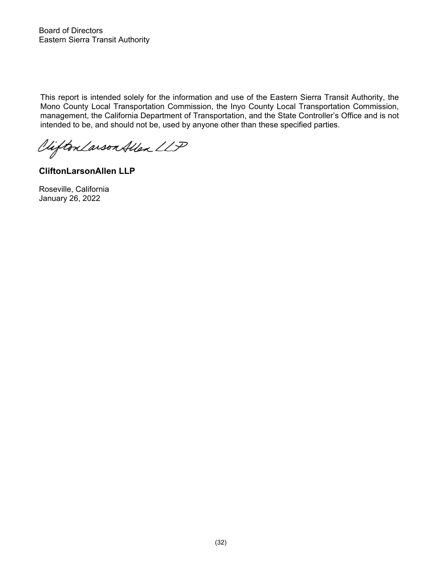This report is intended solely for the information and use of the Eastern Sierra Transit Authority, the Mono County Local Transportation Commission, the Inyo County Local Transportation Commission, management, the California Department of Transportation, and the State Controller's Office and is not intended to be, and should not be, used by anyone other than these specified parties.

Clifton Larson Allen LLP

**CliftonLarsonAllen LLP** 

Roseville, California January 26, 2022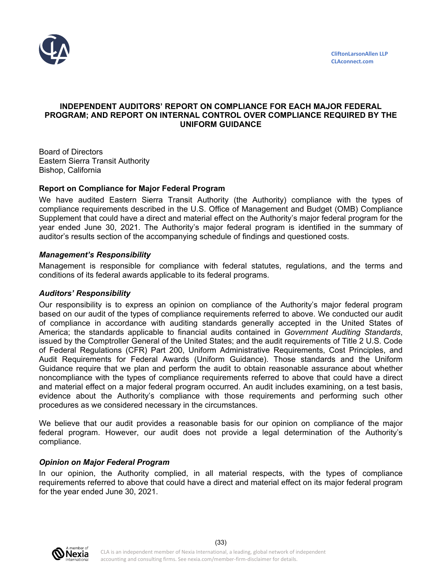

# **INDEPENDENT AUDITORS' REPORT ON COMPLIANCE FOR EACH MAJOR FEDERAL PROGRAM; AND REPORT ON INTERNAL CONTROL OVER COMPLIANCE REQUIRED BY THE UNIFORM GUIDANCE**

Board of Directors Eastern Sierra Transit Authority Bishop, California

### **Report on Compliance for Major Federal Program**

We have audited Eastern Sierra Transit Authority (the Authority) compliance with the types of compliance requirements described in the U.S. Office of Management and Budget (OMB) Compliance Supplement that could have a direct and material effect on the Authority's major federal program for the year ended June 30, 2021. The Authority's major federal program is identified in the summary of auditor's results section of the accompanying schedule of findings and questioned costs.

### *Management's Responsibility*

Management is responsible for compliance with federal statutes, regulations, and the terms and conditions of its federal awards applicable to its federal programs.

### *Auditors' Responsibility*

Our responsibility is to express an opinion on compliance of the Authority's major federal program based on our audit of the types of compliance requirements referred to above. We conducted our audit of compliance in accordance with auditing standards generally accepted in the United States of America; the standards applicable to financial audits contained in *Government Auditing Standards*, issued by the Comptroller General of the United States; and the audit requirements of Title 2 U.S. Code of Federal Regulations (CFR) Part 200, Uniform Administrative Requirements, Cost Principles, and Audit Requirements for Federal Awards (Uniform Guidance). Those standards and the Uniform Guidance require that we plan and perform the audit to obtain reasonable assurance about whether noncompliance with the types of compliance requirements referred to above that could have a direct and material effect on a major federal program occurred. An audit includes examining, on a test basis, evidence about the Authority's compliance with those requirements and performing such other procedures as we considered necessary in the circumstances.

We believe that our audit provides a reasonable basis for our opinion on compliance of the major federal program. However, our audit does not provide a legal determination of the Authority's compliance.

### *Opinion on Major Federal Program*

In our opinion, the Authority complied, in all material respects, with the types of compliance requirements referred to above that could have a direct and material effect on its major federal program for the year ended June 30, 2021.

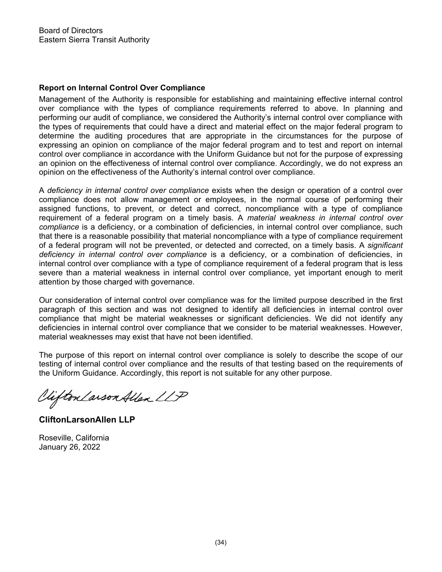# **Report on Internal Control Over Compliance**

Management of the Authority is responsible for establishing and maintaining effective internal control over compliance with the types of compliance requirements referred to above. In planning and performing our audit of compliance, we considered the Authority's internal control over compliance with the types of requirements that could have a direct and material effect on the major federal program to determine the auditing procedures that are appropriate in the circumstances for the purpose of expressing an opinion on compliance of the major federal program and to test and report on internal control over compliance in accordance with the Uniform Guidance but not for the purpose of expressing an opinion on the effectiveness of internal control over compliance. Accordingly, we do not express an opinion on the effectiveness of the Authority's internal control over compliance.

A *deficiency in internal control over compliance* exists when the design or operation of a control over compliance does not allow management or employees, in the normal course of performing their assigned functions, to prevent, or detect and correct, noncompliance with a type of compliance requirement of a federal program on a timely basis. A *material weakness in internal control over compliance* is a deficiency, or a combination of deficiencies, in internal control over compliance, such that there is a reasonable possibility that material noncompliance with a type of compliance requirement of a federal program will not be prevented, or detected and corrected, on a timely basis. A *significant deficiency in internal control over compliance* is a deficiency, or a combination of deficiencies, in internal control over compliance with a type of compliance requirement of a federal program that is less severe than a material weakness in internal control over compliance, yet important enough to merit attention by those charged with governance.

Our consideration of internal control over compliance was for the limited purpose described in the first paragraph of this section and was not designed to identify all deficiencies in internal control over compliance that might be material weaknesses or significant deficiencies. We did not identify any deficiencies in internal control over compliance that we consider to be material weaknesses. However, material weaknesses may exist that have not been identified.

The purpose of this report on internal control over compliance is solely to describe the scope of our testing of internal control over compliance and the results of that testing based on the requirements of the Uniform Guidance. Accordingly, this report is not suitable for any other purpose.

Clifton Larson Allen LLP

**CliftonLarsonAllen LLP** 

Roseville, California January 26, 2022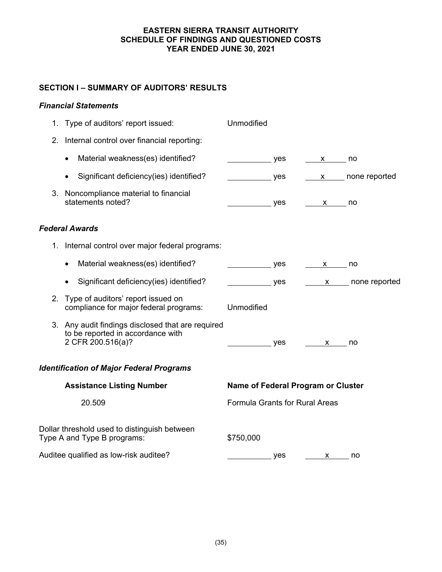### **EASTERN SIERRA TRANSIT AUTHORITY SCHEDULE OF FINDINGS AND QUESTIONED COSTS YEAR ENDED JUNE 30, 2021**

# **SECTION I – SUMMARY OF AUDITORS' RESULTS**

### *Financial Statements*

|                                                                             | 1. Type of auditors' report issued:                                                                         | Unmodified                                                                                                            |      |                                    |                                               |  |
|-----------------------------------------------------------------------------|-------------------------------------------------------------------------------------------------------------|-----------------------------------------------------------------------------------------------------------------------|------|------------------------------------|-----------------------------------------------|--|
| 2.                                                                          | Internal control over financial reporting:                                                                  |                                                                                                                       |      |                                    |                                               |  |
|                                                                             | Material weakness(es) identified?<br>$\bullet$                                                              |                                                                                                                       |      | $\frac{\mathsf{x}}{\mathsf{y}}$ no |                                               |  |
|                                                                             | Significant deficiency(ies) identified?<br>$\bullet$                                                        | $V$ es                                                                                                                |      |                                    | $\frac{\mathsf{x}}{\mathsf{y}}$ none reported |  |
|                                                                             | 3. Noncompliance material to financial<br>statements noted?                                                 | $\overline{\phantom{a}}$ yes                                                                                          |      | $\frac{\mathsf{x}}{\mathsf{x}}$ no |                                               |  |
|                                                                             | <b>Federal Awards</b>                                                                                       |                                                                                                                       |      |                                    |                                               |  |
|                                                                             | 1. Internal control over major federal programs:                                                            |                                                                                                                       |      |                                    |                                               |  |
|                                                                             | Material weakness(es) identified?<br>٠                                                                      | <u>with the set of the set of the set of the set of the set of the set of the set of the set of the set of the se</u> |      | $\frac{\mathsf{x}}{\mathsf{y}}$ no |                                               |  |
|                                                                             | Significant deficiency(ies) identified?<br>$\bullet$                                                        | $\rule{1em}{0.15mm}$ yes                                                                                              |      |                                    | $\frac{\mathsf{x}}{\mathsf{y}}$ none reported |  |
|                                                                             | 2. Type of auditors' report issued on<br>compliance for major federal programs:                             | Unmodified                                                                                                            |      |                                    |                                               |  |
|                                                                             | 3. Any audit findings disclosed that are required<br>to be reported in accordance with<br>2 CFR 200.516(a)? | <u>with the set of the set of the set</u>                                                                             |      | $\frac{\mathsf{x}}{\mathsf{y}}$ no |                                               |  |
|                                                                             | <b>Identification of Major Federal Programs</b>                                                             |                                                                                                                       |      |                                    |                                               |  |
|                                                                             | <b>Assistance Listing Number</b>                                                                            | Name of Federal Program or Cluster                                                                                    |      |                                    |                                               |  |
|                                                                             | 20.509                                                                                                      | <b>Formula Grants for Rural Areas</b>                                                                                 |      |                                    |                                               |  |
| Dollar threshold used to distinguish between<br>Type A and Type B programs: |                                                                                                             | \$750,000                                                                                                             |      |                                    |                                               |  |
| Auditee qualified as low-risk auditee?                                      |                                                                                                             |                                                                                                                       | yes_ | $x \sim$ no                        |                                               |  |